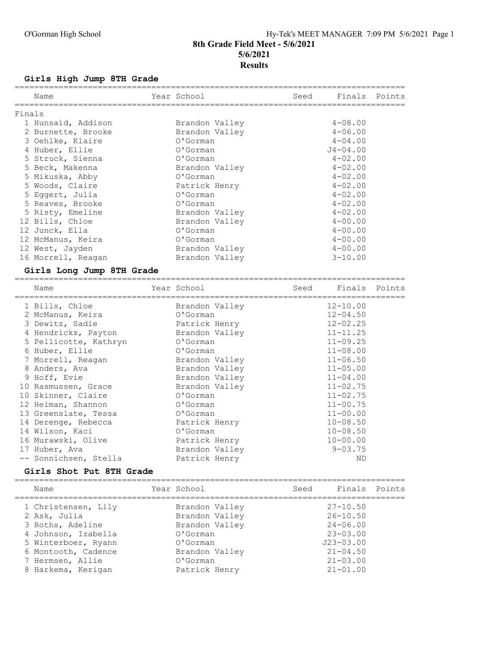# O'Gorman High School Hy-Tek's MEET MANAGER 7:09 PM 5/6/2021 Page 1 8th Grade Field Meet - 5/6/2021 5/6/2021 **Results**

#### Girls High Jump 8TH Grade

|        | Name               | Year School    | Seed | Finals Points |  |
|--------|--------------------|----------------|------|---------------|--|
| Finals |                    |                |      |               |  |
|        | 1 Hunsaid, Addison | Brandon Valley |      | $4 - 08.00$   |  |
|        | 2 Burnette, Brooke | Brandon Valley |      | $4 - 06.00$   |  |
|        | 3 Oehlke, Klaire   | O'Gorman       |      | $4 - 04.00$   |  |
|        | 4 Huber, Ellie     | O'Gorman       |      | $J4 - 04.00$  |  |
|        | 5 Struck, Sienna   | O'Gorman       |      | $4 - 02.00$   |  |
|        | 5 Beck, Makenna    | Brandon Valley |      | $4 - 02.00$   |  |
|        | 5 Mikuska, Abby    | O'Gorman       |      | $4 - 02.00$   |  |
|        | 5 Woods, Claire    | Patrick Henry  |      | $4 - 02.00$   |  |
|        | 5 Eggert, Julia    | O'Gorman       |      | $4 - 02.00$   |  |
|        | 5 Reaves, Brooke   | O'Gorman       |      | $4 - 02.00$   |  |
|        | 5 Risty, Emeline   | Brandon Valley |      | $4 - 02.00$   |  |
|        | 12 Bills, Chloe    | Brandon Valley |      | $4 - 00.00$   |  |
|        | 12 Junck, Ella     | O'Gorman       |      | $4 - 00.00$   |  |
|        | 12 McManus, Keira  | O'Gorman       |      | $4 - 00.00$   |  |
|        | 12 West, Jayden    | Brandon Valley |      | $4 - 00.00$   |  |
|        | 16 Morrell, Reagan | Brandon Valley |      | $3 - 10.00$   |  |
|        |                    |                |      |               |  |

#### Girls Long Jump 8TH Grade

================================================================================ Name Year School Seed Finals Points ================================================================================ 1 Bills, Chloe Brandon Valley 12-10.00 2 McManus, Keira O'Gorman 12-04.50 3 Dewitz, Sadie Patrick Henry 12-02.25 4 Hendricks, Payton Brandon Valley 11-11.25 5 Pellicotte, Kathryn O'Gorman 11-09.25 6 Huber, Ellie O'Gorman 11-08.00 7 Morrell, Reagan Brandon Valley 11-06.50 8 Anders, Ava Brandon Valley 11-05.00 9 Hoff, Evie Brandon Valley 11-04.00 10 Rasmussen, Grace Brandon Valley 11-02.75 10 Skinner, Claire O'Gorman 11-02.75 12 Heiman, Shannon O'Gorman 11-00.75 13 Greenslate, Tessa O'Gorman 11-00.00 14 Derenge, Rebecca and Patrick Henry 10-08.50 14 Wilson, Kaci O'Gorman 10-08.50 16 Murawski, Olive Patrick Henry 10-00.00 17 Huber, Ava Brandon Valley 9-03.75 -- Sonnichsen, Stella Patrick Henry ND

### Girls Shot Put 8TH Grade

================================================================================ Name The Year School Seed Finals Points ================================================================================ 1 Christensen, Lily Brandon Valley 27-10.50 2 Ask, Julia Brandon Valley 26-10.50 3 Roths, Adeline Brandon Valley 24-06.00 4 Johnson, Izabella O'Gorman 23-03.00 5 Winterboer, Ryann O'Gorman J23-03.00 6 Montooth, Cadence Brandon Valley 21-04.50 7 Hermsen, Allie O'Gorman 21-03.00 8 Harkema, Kerigan Patrick Henry 21-01.00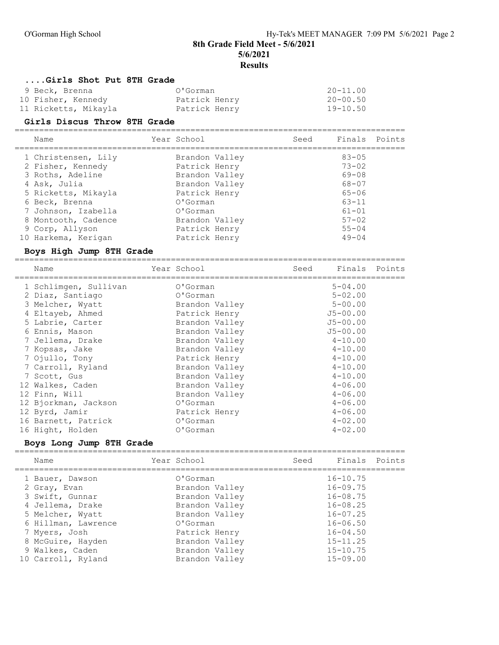8th Grade Field Meet - 5/6/2021

5/6/2021

Results

### ....Girls Shot Put 8TH Grade

| 9 Beck, Brenna       | O'Gorman      | $20 - 11.00$ |
|----------------------|---------------|--------------|
| 10 Fisher, Kennedy   | Patrick Henry | $20 - 00.50$ |
| 11 Ricketts, Mikayla | Patrick Henry | $19 - 10.50$ |

#### Girls Discus Throw 8TH Grade

================================================================================ Name The Year School Seed Finals Points ================================================================================ 1 Christensen, Lily Brandon Valley 83-05 2 Fisher, Kennedy Patrick Henry 73-02 3 Roths, Adeline Brandon Valley 69-08 4 Ask, Julia Brandon Valley 68-07 5 Ricketts, Mikayla Patrick Henry 65-06 6 Beck, Brenna O'Gorman 63-11 7 Johnson, Izabella O'Gorman 61-01 8 Montooth, Cadence **Brandon Valley** 57-02 9 Corp, Allyson Patrick Henry 55-04 10 Harkema, Kerigan Patrick Henry 49-04

#### Boys High Jump 8TH Grade

================================================================================

| Name                  | Year School    | Seed | Finals       | Points |
|-----------------------|----------------|------|--------------|--------|
| 1 Schlimgen, Sullivan | O'Gorman       |      | $5 - 04.00$  |        |
| 2 Diaz, Santiago      | O'Gorman       |      | $5 - 02.00$  |        |
| 3 Melcher, Wyatt      | Brandon Valley |      | $5 - 00.00$  |        |
| 4 Eltayeb, Ahmed      | Patrick Henry  |      | $J5 - 00.00$ |        |
| 5 Labrie, Carter      | Brandon Valley |      | $J5 - 00.00$ |        |
| 6 Ennis, Mason        | Brandon Valley |      | $J5 - 00.00$ |        |
| 7 Jellema, Drake      | Brandon Valley |      | $4 - 10.00$  |        |
| 7 Kopsas, Jake        | Brandon Valley |      | $4 - 10.00$  |        |
| 7 Ojullo, Tony        | Patrick Henry  |      | $4 - 10.00$  |        |
| 7 Carroll, Ryland     | Brandon Valley |      | $4 - 10.00$  |        |
| 7 Scott, Gus          | Brandon Valley |      | $4 - 10.00$  |        |
| 12 Walkes, Caden      | Brandon Valley |      | $4 - 06.00$  |        |
| 12 Finn, Will         | Brandon Valley |      | $4 - 06.00$  |        |
| 12 Bjorkman, Jackson  | O'Gorman       |      | $4 - 06.00$  |        |
| 12 Byrd, Jamir        | Patrick Henry  |      | $4 - 06.00$  |        |
| 16 Barnett, Patrick   | O'Gorman       |      | $4 - 02.00$  |        |
| 16 Hight, Holden      | O'Gorman       |      | $4 - 02.00$  |        |

#### Boys Long Jump 8TH Grade

================================================================================ Name Sear School Seed Finals Points ================================================================================ 1 Bauer, Dawson O'Gorman 16-10.75 2 Gray, Evan Brandon Valley 16-09.75 3 Swift, Gunnar Brandon Valley 16-08.75 4 Jellema, Drake Brandon Valley 16-08.25 5 Melcher, Wyatt Brandon Valley 16-07.25 6 Hillman, Lawrence O'Gorman 16-06.50 7 Myers, Josh Patrick Henry 16-04.50 8 McGuire, Hayden Brandon Valley 15-11.25 9 Walkes, Caden Brandon Valley 15-10.75 10 Carroll, Ryland Brandon Valley 15-09.00